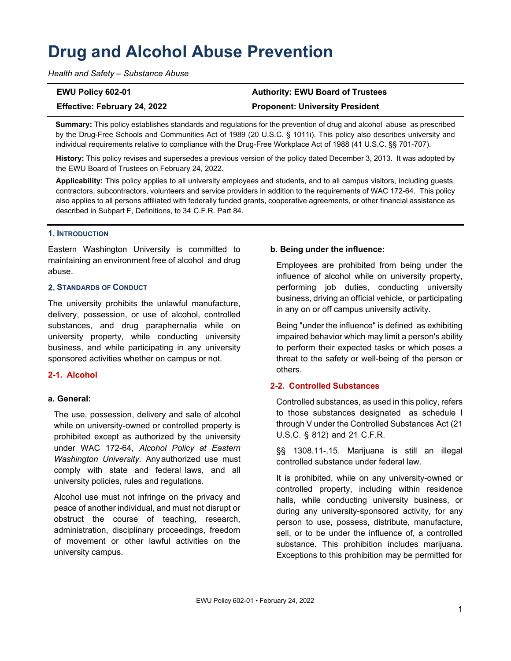# **Drug and Alcohol Abuse Prevention**

*Health and Safety – Substance Abuse* 

**EWU Policy 602-01 Authority: EWU Board of Trustees Effective: February 24, 2022 Proponent: University President** 

**Summary:** This policy establishes standards and regulations for the prevention of drug and alcohol abuse as prescribed by the Drug-Free Schools and Communities Act of 1989 (20 U.S.C. § 1011i). This policy also describes university and individual requirements relative to compliance with the Drug-Free Workplace Act of 1988 (41 U.S.C. §§ 701-707).

**History:** This policy revises and supersedes a previous version of the policy dated December 3, 2013. It was adopted by the EWU Board of Trustees on February 24, 2022.

**Applicability:** This policy applies to all university employees and students, and to all campus visitors, including guests, contractors, subcontractors, volunteers and service providers in addition to the requirements of WAC 172-64. This policy also applies to all persons affiliated with federally funded grants, cooperative agreements, or other financial assistance as described in Subpart F, Definitions, to 34 C.F.R. Part 84.

### **1. INTRODUCTION**

Eastern Washington University is committed to maintaining an environment free of alcohol and drug abuse.

# **STANDARDS OF CONDUCT**

The university prohibits the unlawful manufacture, delivery, possession, or use of alcohol, controlled substances, and drug paraphernalia while on university property, while conducting university business, and while participating in any university sponsored activities whether on campus or not.

# **2-1. Alcohol**

### **a. General:**

The use, possession, delivery and sale of alcohol while on university-owned or controlled property is prohibited except as authorized by the university under WAC 172-64, *Alcohol Policy at Eastern Washington University.* Any authorized use must comply with state and federal laws, and all university policies, rules and regulations.

Alcohol use must not infringe on the privacy and peace of another individual, and must not disrupt or obstruct the course of teaching, research, administration, disciplinary proceedings, freedom of movement or other lawful activities on the university campus.

# **b. Being under the influence:**

Employees are prohibited from being under the influence of alcohol while on university property, performing job duties, conducting university business, driving an official vehicle, or participating in any on or off campus university activity.

Being "under the influence" is defined as exhibiting impaired behavior which may limit a person's ability to perform their expected tasks or which poses a threat to the safety or well-being of the person or others.

# **2-2. Controlled Substances**

Controlled substances, as used in this policy, refers to those substances designated as schedule I through V under the Controlled Substances Act (21 U.S.C. § 812) and 21 C.F.R.

§§ 1308.11-.15. Marijuana is still an illegal controlled substance under federal law.

It is prohibited, while on any university-owned or controlled property, including within residence halls, while conducting university business, or during any university-sponsored activity, for any person to use, possess, distribute, manufacture, sell, or to be under the influence of, a controlled substance. This prohibition includes marijuana. Exceptions to this prohibition may be permitted for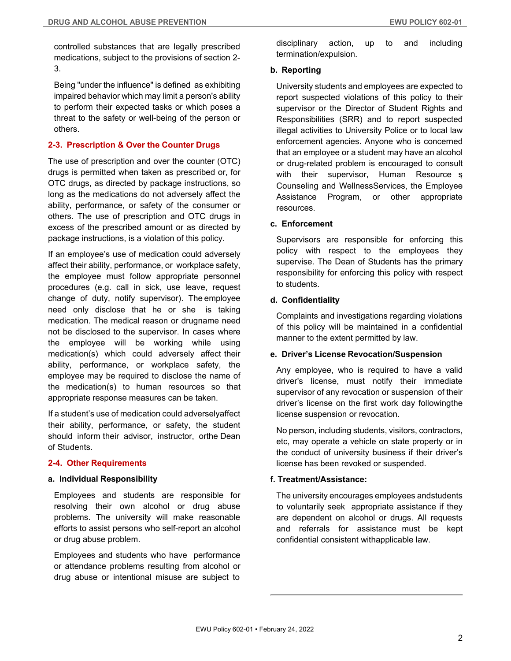controlled substances that are legally prescribed medications, subject to the provisions of section 2- 3.

Being "under the influence" is defined as exhibiting impaired behavior which may limit a person's ability to perform their expected tasks or which poses a threat to the safety or well-being of the person or others.

# **2-3. Prescription & Over the Counter Drugs**

The use of prescription and over the counter (OTC) drugs is permitted when taken as prescribed or, for OTC drugs, as directed by package instructions, so long as the medications do not adversely affect the ability, performance, or safety of the consumer or others. The use of prescription and OTC drugs in excess of the prescribed amount or as directed by package instructions, is a violation of this policy.

If an employee's use of medication could adversely affect their ability, performance, or workplace safety, the employee must follow appropriate personnel procedures (e.g. call in sick, use leave, request change of duty, notify supervisor). The employee need only disclose that he or she is taking medication. The medical reason or drugname need not be disclosed to the supervisor. In cases where the employee will be working while using medication(s) which could adversely affect their ability, performance, or workplace safety, the employee may be required to disclose the name of the medication(s) to human resources so that appropriate response measures can be taken.

If a student's use of medication could adversely affect their ability, performance, or safety, the student should inform their advisor, instructor, orthe Dean of Students.

### **2-4. Other Requirements**

#### **a. Individual Responsibility**

Employees and students are responsible for resolving their own alcohol or drug abuse problems. The university will make reasonable efforts to assist persons who self-report an alcohol or drug abuse problem.

Employees and students who have performance or attendance problems resulting from alcohol or drug abuse or intentional misuse are subject to

disciplinary action, up to and including termination/expulsion.

#### **b. Reporting**

University students and employees are expected to report suspected violations of this policy to their supervisor or the Director of Student Rights and Responsibilities (SRR) and to report suspected illegal activities to University Police or to local law enforcement agencies. Anyone who is concerned that an employee or a student may have an alcohol or drug-related problem is encouraged to consult with their supervisor, Human Resource s Counseling and Wellness Services, the Employee Assistance Program, or other appropriate resources.

### **c. Enforcement**

Supervisors are responsible for enforcing this policy with respect to the employees they supervise. The Dean of Students has the primary responsibility for enforcing this policy with respect to students.

### **d. Confidentiality**

Complaints and investigations regarding violations of this policy will be maintained in a confidential manner to the extent permitted by law.

### **e. Driver's License Revocation/Suspension**

Any employee, who is required to have a valid driver's license, must notify their immediate supervisor of any revocation or suspension of their driver's license on the first work day following the license suspension or revocation.

No person, including students, visitors, contractors, etc, may operate a vehicle on state property or in the conduct of university business if their driver's license has been revoked or suspended.

### **f. Treatment/Assistance:**

The university encourages employees and students to voluntarily seek appropriate assistance if they are dependent on alcohol or drugs. All requests and referrals for assistance must be kept confidential consistent with applicable law.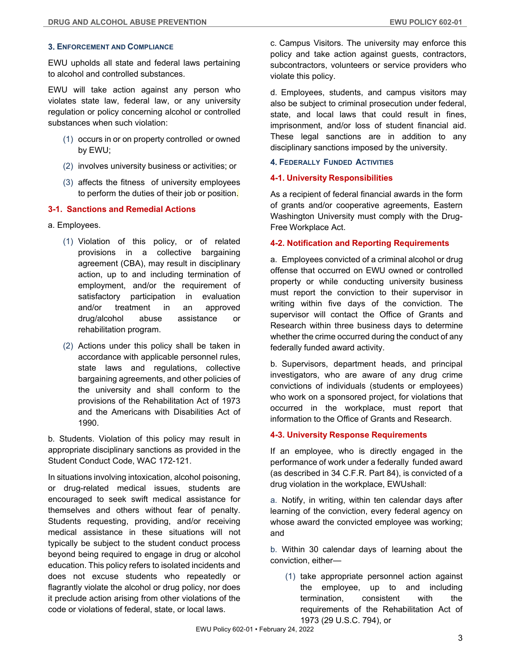# **ENFORCEMENT AND COMPLIANCE**

EWU upholds all state and federal laws pertaining to alcohol and controlled substances.

EWU will take action against any person who violates state law, federal law, or any university regulation or policy concerning alcohol or controlled substances when such violation:

- (1) occurs in or on property controlled or owned by EWU;
- (2) involves university business or activities; or
- (3) affects the fitness of university employees to perform the duties of their job or position.

# **3-1. Sanctions and Remedial Actions**

- a. Employees.
	- (1) Violation of this policy, or of related provisions in a collective bargaining agreement (CBA), may result in disciplinary action, up to and including termination of employment, and/or the requirement of satisfactory participation in evaluation and/or treatment in an approved drug/alcohol abuse assistance or rehabilitation program.
	- (2) Actions under this policy shall be taken in accordance with applicable personnel rules, state laws and regulations, collective bargaining agreements, and other policies of the university and shall conform to the provisions of the Rehabilitation Act of 1973 and the Americans with Disabilities Act of 1990.

b. Students. Violation of this policy may result in appropriate disciplinary sanctions as provided in the Student Conduct Code, WAC 172-121.

In situations involving intoxication, alcohol poisoning, or drug-related medical issues, students are encouraged to seek swift medical assistance for themselves and others without fear of penalty. Students requesting, providing, and/or receiving medical assistance in these situations will not typically be subject to the student conduct process beyond being required to engage in drug or alcohol education. This policy refers to isolated incidents and does not excuse students who repeatedly or flagrantly violate the alcohol or drug policy, nor does it preclude action arising from other violations of the code or violations of federal, state, or local laws.

c. Campus Visitors. The university may enforce this policy and take action against guests, contractors, subcontractors, volunteers or service providers who violate this policy.

d. Employees, students, and campus visitors may also be subject to criminal prosecution under federal, state, and local laws that could result in fines, imprisonment, and/or loss of student financial aid. These legal sanctions are in addition to any disciplinary sanctions imposed by the university.

### **FEDERALLY FUNDED ACTIVITIES**

### **4-1. University Responsibilities**

As a recipient of federal financial awards in the form of grants and/or cooperative agreements, Eastern Washington University must comply with the Drug-Free Workplace Act.

### **4-2. Notification and Reporting Requirements**

a. Employees convicted of a criminal alcohol or drug offense that occurred on EWU owned or controlled property or while conducting university business must report the conviction to their supervisor in writing within five days of the conviction. The supervisor will contact the Office of Grants and Research within three business days to determine whether the crime occurred during the conduct of any federally funded award activity.

b. Supervisors, department heads, and principal investigators, who are aware of any drug crime convictions of individuals (students or employees) who work on a sponsored project, for violations that occurred in the workplace, must report that information to the Office of Grants and Research.

# **4-3. University Response Requirements**

If an employee, who is directly engaged in the performance of work under a federally funded award (as described in 34 C.F.R. Part 84), is convicted of a drug violation in the workplace, EWU shall:

a. Notify, in writing, within ten calendar days after learning of the conviction, every federal agency on whose award the convicted employee was working; and

b. Within 30 calendar days of learning about the conviction, either—

(1) take appropriate personnel action against the employee, up to and including termination, consistent with the requirements of the Rehabilitation Act of 1973 (29 U.S.C. 794), or